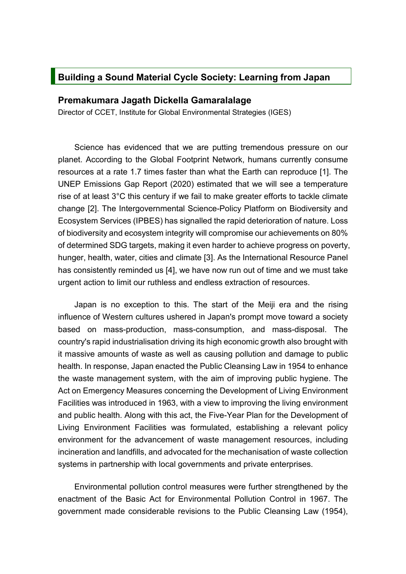## **Building a Sound Material Cycle Society: Learning from Japan**

## **Premakumara Jagath Dickella Gamaralalage**

Director of CCET, Institute for Global Environmental Strategies (IGES)

Science has evidenced that we are putting tremendous pressure on our planet. According to the Global Footprint Network, humans currently consume resources at a rate 1.7 times faster than what the Earth can reproduce [1]. The UNEP Emissions Gap Report (2020) estimated that we will see a temperature rise of at least 3°C this century if we fail to make greater efforts to tackle climate change [2]. The Intergovernmental Science-Policy Platform on Biodiversity and Ecosystem Services (IPBES) has signalled the rapid deterioration of nature. Loss of biodiversity and ecosystem integrity will compromise our achievements on 80% of determined SDG targets, making it even harder to achieve progress on poverty, hunger, health, water, cities and climate [3]. As the International Resource Panel has consistently reminded us [4], we have now run out of time and we must take urgent action to limit our ruthless and endless extraction of resources.

Japan is no exception to this. The start of the Meiji era and the rising influence of Western cultures ushered in Japan's prompt move toward a society based on mass-production, mass-consumption, and mass-disposal. The country's rapid industrialisation driving its high economic growth also brought with it massive amounts of waste as well as causing pollution and damage to public health. In response, Japan enacted the Public Cleansing Law in 1954 to enhance the waste management system, with the aim of improving public hygiene. The Act on Emergency Measures concerning the Development of Living Environment Facilities was introduced in 1963, with a view to improving the living environment and public health. Along with this act, the Five-Year Plan for the Development of Living Environment Facilities was formulated, establishing a relevant policy environment for the advancement of waste management resources, including incineration and landfills, and advocated for the mechanisation of waste collection systems in partnership with local governments and private enterprises.

Environmental pollution control measures were further strengthened by the enactment of the Basic Act for Environmental Pollution Control in 1967. The government made considerable revisions to the Public Cleansing Law (1954),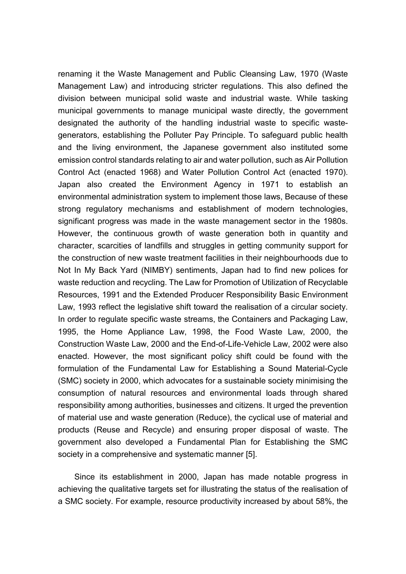renaming it the Waste Management and Public Cleansing Law, 1970 (Waste Management Law) and introducing stricter regulations. This also defined the division between municipal solid waste and industrial waste. While tasking municipal governments to manage municipal waste directly, the government designated the authority of the handling industrial waste to specific wastegenerators, establishing the Polluter Pay Principle. To safeguard public health and the living environment, the Japanese government also instituted some emission control standards relating to air and water pollution, such as Air Pollution Control Act (enacted 1968) and Water Pollution Control Act (enacted 1970). Japan also created the Environment Agency in 1971 to establish an environmental administration system to implement those laws, Because of these strong regulatory mechanisms and establishment of modern technologies, significant progress was made in the waste management sector in the 1980s. However, the continuous growth of waste generation both in quantity and character, scarcities of landfills and struggles in getting community support for the construction of new waste treatment facilities in their neighbourhoods due to Not In My Back Yard (NIMBY) sentiments, Japan had to find new polices for waste reduction and recycling. The Law for Promotion of Utilization of Recyclable Resources, 1991 and the Extended Producer Responsibility Basic Environment Law, 1993 reflect the legislative shift toward the realisation of a circular society. In order to regulate specific waste streams, the Containers and Packaging Law, 1995, the Home Appliance Law, 1998, the Food Waste Law, 2000, the Construction Waste Law, 2000 and the End-of-Life-Vehicle Law, 2002 were also enacted. However, the most significant policy shift could be found with the formulation of the Fundamental Law for Establishing a Sound Material-Cycle (SMC) society in 2000, which advocates for a sustainable society minimising the consumption of natural resources and environmental loads through shared responsibility among authorities, businesses and citizens. It urged the prevention of material use and waste generation (Reduce), the cyclical use of material and products (Reuse and Recycle) and ensuring proper disposal of waste. The government also developed a Fundamental Plan for Establishing the SMC society in a comprehensive and systematic manner [5].

Since its establishment in 2000, Japan has made notable progress in achieving the qualitative targets set for illustrating the status of the realisation of a SMC society. For example, resource productivity increased by about 58%, the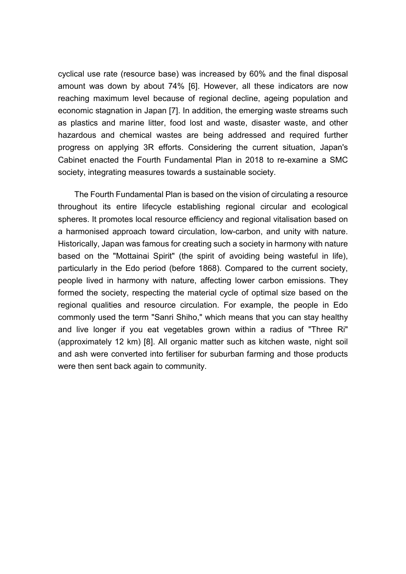cyclical use rate (resource base) was increased by 60% and the final disposal amount was down by about 74% [6]. However, all these indicators are now reaching maximum level because of regional decline, ageing population and economic stagnation in Japan [7]. In addition, the emerging waste streams such as plastics and marine litter, food lost and waste, disaster waste, and other hazardous and chemical wastes are being addressed and required further progress on applying 3R efforts. Considering the current situation, Japan's Cabinet enacted the Fourth Fundamental Plan in 2018 to re-examine a SMC society, integrating measures towards a sustainable society.

The Fourth Fundamental Plan is based on the vision of circulating a resource throughout its entire lifecycle establishing regional circular and ecological spheres. It promotes local resource efficiency and regional vitalisation based on a harmonised approach toward circulation, low-carbon, and unity with nature. Historically, Japan was famous for creating such a society in harmony with nature based on the "Mottainai Spirit" (the spirit of avoiding being wasteful in life), particularly in the Edo period (before 1868). Compared to the current society, people lived in harmony with nature, affecting lower carbon emissions. They formed the society, respecting the material cycle of optimal size based on the regional qualities and resource circulation. For example, the people in Edo commonly used the term "Sanri Shiho," which means that you can stay healthy and live longer if you eat vegetables grown within a radius of "Three Ri" (approximately 12 km) [8]. All organic matter such as kitchen waste, night soil and ash were converted into fertiliser for suburban farming and those products were then sent back again to community.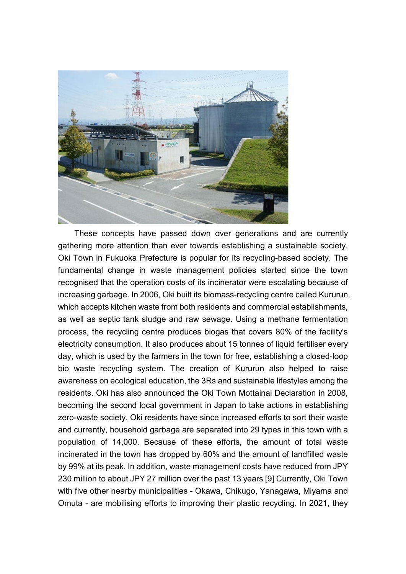

These concepts have passed down over generations and are currently gathering more attention than ever towards establishing a sustainable society. Oki Town in Fukuoka Prefecture is popular for its recycling-based society. The fundamental change in waste management policies started since the town recognised that the operation costs of its incinerator were escalating because of increasing garbage. In 2006, Oki built its biomass-recycling centre called Kururun, which accepts kitchen waste from both residents and commercial establishments, as well as septic tank sludge and raw sewage. Using a methane fermentation process, the recycling centre produces biogas that covers 80% of the facility's electricity consumption. It also produces about 15 tonnes of liquid fertiliser every day, which is used by the farmers in the town for free, establishing a closed-loop bio waste recycling system. The creation of Kururun also helped to raise awareness on ecological education, the 3Rs and sustainable lifestyles among the residents. Oki has also announced the Oki Town Mottainai Declaration in 2008, becoming the second local government in Japan to take actions in establishing zero-waste society. Oki residents have since increased efforts to sort their waste and currently, household garbage are separated into 29 types in this town with a population of 14,000. Because of these efforts, the amount of total waste incinerated in the town has dropped by 60% and the amount of landfilled waste by 99% at its peak. In addition, waste management costs have reduced from JPY 230 million to about JPY 27 million over the past 13 years [9] Currently, Oki Town with five other nearby municipalities - Okawa, Chikugo, Yanagawa, Miyama and Omuta - are mobilising efforts to improving their plastic recycling. In 2021, they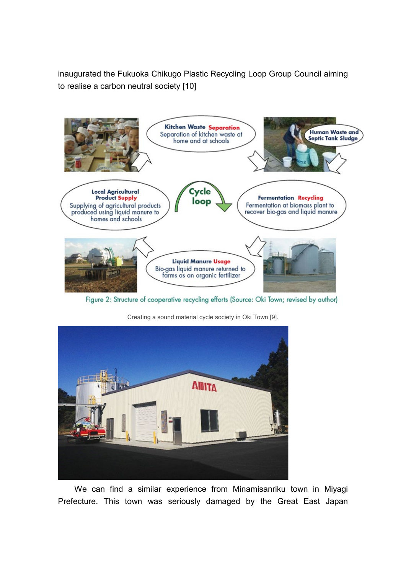inaugurated the Fukuoka Chikugo Plastic Recycling Loop Group Council aiming to realise a carbon neutral society [10]



Figure 2: Structure of cooperative recycling efforts (Source: Oki Town; revised by author)



Creating a sound material cycle society in Oki Town [9].

We can find a similar experience from Minamisanriku town in Miyagi Prefecture. This town was seriously damaged by the Great East Japan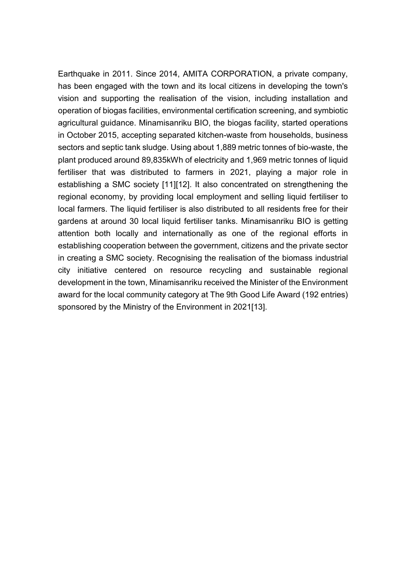Earthquake in 2011. Since 2014, AMITA CORPORATION, a private company, has been engaged with the town and its local citizens in developing the town's vision and supporting the realisation of the vision, including installation and operation of biogas facilities, environmental certification screening, and symbiotic agricultural guidance. Minamisanriku BIO, the biogas facility, started operations in October 2015, accepting separated kitchen-waste from households, business sectors and septic tank sludge. Using about 1,889 metric tonnes of bio-waste, the plant produced around 89,835kWh of electricity and 1,969 metric tonnes of liquid fertiliser that was distributed to farmers in 2021, playing a major role in establishing a SMC society [11][12]. It also concentrated on strengthening the regional economy, by providing local employment and selling liquid fertiliser to local farmers. The liquid fertiliser is also distributed to all residents free for their gardens at around 30 local liquid fertiliser tanks. Minamisanriku BIO is getting attention both locally and internationally as one of the regional efforts in establishing cooperation between the government, citizens and the private sector in creating a SMC society. Recognising the realisation of the biomass industrial city initiative centered on resource recycling and sustainable regional development in the town, Minamisanriku received the Minister of the Environment award for the local community category at The 9th Good Life Award (192 entries) sponsored by the Ministry of the Environment in 2021[13].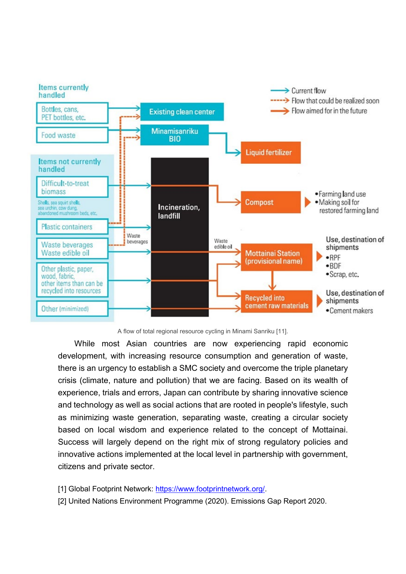

A flow of total regional resource cycling in Minami Sanriku [11].

While most Asian countries are now experiencing rapid economic development, with increasing resource consumption and generation of waste, there is an urgency to establish a SMC society and overcome the triple planetary crisis (climate, nature and pollution) that we are facing. Based on its wealth of experience, trials and errors, Japan can contribute by sharing innovative science and technology as well as social actions that are rooted in people's lifestyle, such as minimizing waste generation, separating waste, creating a circular society based on local wisdom and experience related to the concept of Mottainai. Success will largely depend on the right mix of strong regulatory policies and innovative actions implemented at the local level in partnership with government, citizens and private sector.

- [1] Global Footprint Network: [https://www.footprintnetwork.org/.](https://www.footprintnetwork.org/)
- [2] United Nations Environment Programme (2020). Emissions Gap Report 2020.